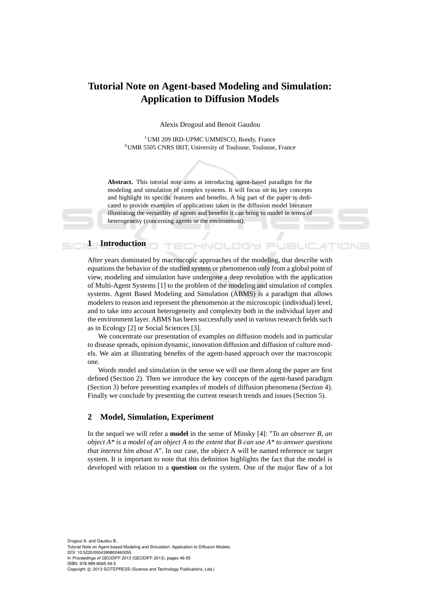# **Tutorial Note on Agent-based Modeling and Simulation: Application to Diffusion Models**

Alexis Drogoul and Benoit Gaudou

<sup>1</sup> UMI 209 IRD-UPMC UMMISCO, Bondy, France <sup>2</sup>UMR 5505 CNRS IRIT, University of Toulouse, Toulouse, France

**Abstract.** This tutorial note aims at introducing agent-based paradigm for the modeling and simulation of complex systems. It will focus on its key concepts and highlight its specific features and benefits. A big part of the paper is dedicated to provide examples of applications taken in the diffusion model literature illustrating the versatility of agents and benefits it can bring to model in terms of heterogeneity (concerning agents or the environment).

**INOL** 

## **1** Introduction

After years dominated by macroscopic approaches of the modeling, that describe with equations the behavior of the studied system or phenomenon only from a global point of view, modeling and simulation have undergone a deep revolution with the application of Multi-Agent Systems [1] to the problem of the modeling and simulation of complex systems. Agent Based Modeling and Simulation (ABMS) is a paradigm that allows modelers to reason and represent the phenomenon at the microscopic (individual) level, and to take into account heterogeneity and complexity both in the individual layer and the environment layer. ABMS has been successfully used in various research fields such as in Ecology [2] or Social Sciences [3].

We concentrate our presentation of examples on diffusion models and in particular to disease spreads, opinion dynamic, innovation diffusion and diffusion of culture models. We aim at illustrating benefits of the agent-based approach over the macroscopic one.

Words model and simulation in the sense we will use them along the paper are first defined (Section 2). Then we introduce the key concepts of the agent-based paradigm (Section 3) before presenting examples of models of diffusion phenomena (Section 4). Finally we conclude by presenting the current research trends and issues (Section 5).

# **2 Model, Simulation, Experiment**

In the sequel we will refer a **model** in the sense of Minsky [4]: "*To an observer B, an object A\* is a model of an object A to the extent that B can use A\* to answer questions that interest him about A*". In our case, the object A will be named reference or target system. It is important to note that this definition highlights the fact that the model is developed with relation to a **question** on the system. One of the major flaw of a lot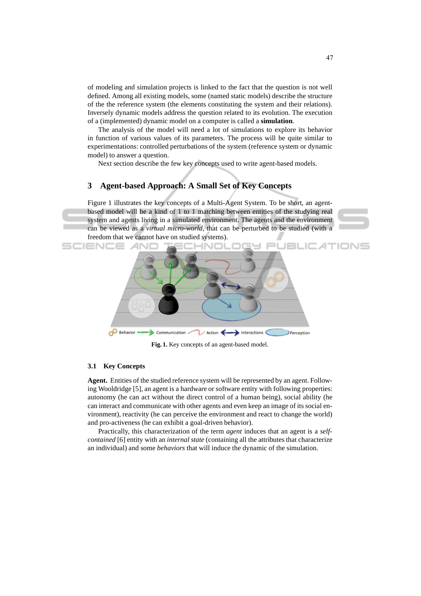of modeling and simulation projects is linked to the fact that the question is not well defined. Among all existing models, some (named static models) describe the structure of the the reference system (the elements constituting the system and their relations). Inversely dynamic models address the question related to its evolution. The execution of a (implemented) dynamic model on a computer is called a **simulation**.

The analysis of the model will need a lot of simulations to explore its behavior in function of various values of its parameters. The process will be quite similar to experimentations: controlled perturbations of the system (reference system or dynamic model) to answer a question.

Next section describe the few key concepts used to write agent-based models.

# **3 Agent-based Approach: A Small Set of Key Concepts**

Figure 1 illustrates the key concepts of a Multi-Agent System. To be short, an agentbased model will be a kind of 1 to 1 matching between entities of the studying real system and agents living in a simulated environment. The agents and the environment can be viewed as a *virtual micro-world*, that can be perturbed to be studied (with a freedom that we cannot have on studied systems).





**Fig. 1.** Key concepts of an agent-based model.

#### **3.1 Key Concepts**

**Agent.** Entities of the studied reference system will be represented by an agent. Following Wooldridge [5], an agent is a hardware or software entity with following properties: autonomy (he can act without the direct control of a human being), social ability (he can interact and communicate with other agents and even keep an image of its social environment), reactivity (he can perceive the environment and react to change the world) and pro-activeness (he can exhibit a goal-driven behavior).

Practically, this characterization of the term *agent* induces that an agent is a *selfcontained* [6] entity with an *internal state* (containing all the attributes that characterize an individual) and some *behaviors* that will induce the dynamic of the simulation.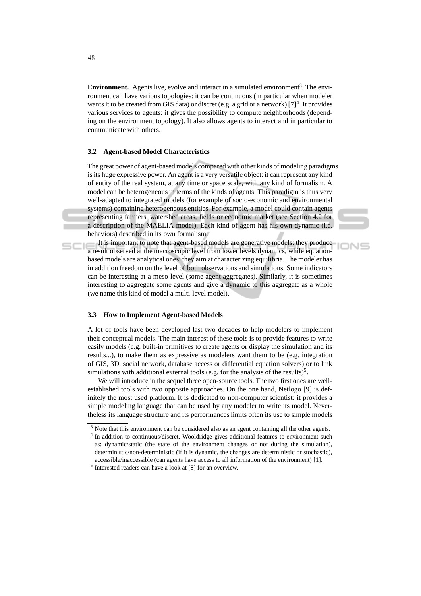**Environment.** Agents live, evolve and interact in a simulated environment<sup>3</sup>. The environment can have various topologies: it can be continuous (in particular when modeler wants it to be created from GIS data) or discret (e.g. a grid or a network)  $[7]^4$ . It provides various services to agents: it gives the possibility to compute neighborhoods (depending on the environment topology). It also allows agents to interact and in particular to communicate with others.

#### **3.2 Agent-based Model Characteristics**

The great power of agent-based models compared with other kinds of modeling paradigms is its huge expressive power. An agent is a very versatile object: it can represent any kind of entity of the real system, at any time or space scale, with any kind of formalism. A model can be heterogeneous in terms of the kinds of agents. This paradigm is thus very well-adapted to integrated models (for example of socio-economic and environmental systems) containing heterogeneous entities. For example, a model could contain agents representing farmers, watershed areas, fields or economic market (see Section 4.2 for a description of the MAELIA model). Each kind of agent has his own dynamic (i.e. behaviors) described in its own formalism.

It is important to note that agent-based models are generative models: they produce a result observed at the macroscopic level from lower levels dynamics, while equationbased models are analytical ones: they aim at characterizing equilibria. The modeler has in addition freedom on the level of both observations and simulations. Some indicators can be interesting at a meso-level (some agent aggregates). Similarly, it is sometimes interesting to aggregate some agents and give a dynamic to this aggregate as a whole (we name this kind of model a multi-level model).

**IONS** 

#### **3.3 How to Implement Agent-based Models**

A lot of tools have been developed last two decades to help modelers to implement their conceptual models. The main interest of these tools is to provide features to write easily models (e.g. built-in primitives to create agents or display the simulation and its results...), to make them as expressive as modelers want them to be (e.g. integration of GIS, 3D, social network, database access or differential equation solvers) or to link simulations with additional external tools (e.g. for the analysis of the results)<sup>5</sup>.

We will introduce in the sequel three open-source tools. The two first ones are wellestablished tools with two opposite approaches. On the one hand, Netlogo [9] is definitely the most used platform. It is dedicated to non-computer scientist: it provides a simple modeling language that can be used by any modeler to write its model. Nevertheless its language structure and its performances limits often its use to simple models

<sup>&</sup>lt;sup>3</sup> Note that this environment can be considered also as an agent containing all the other agents.

<sup>&</sup>lt;sup>4</sup> In addition to continuous/discret, Wooldridge gives additional features to environment such as: dynamic/static (the state of the environment changes or not during the simulation), deterministic/non-deterministic (if it is dynamic, the changes are deterministic or stochastic), accessible/inaccessible (can agents have access to all information of the environment) [1].

<sup>5</sup> Interested readers can have a look at [8] for an overview.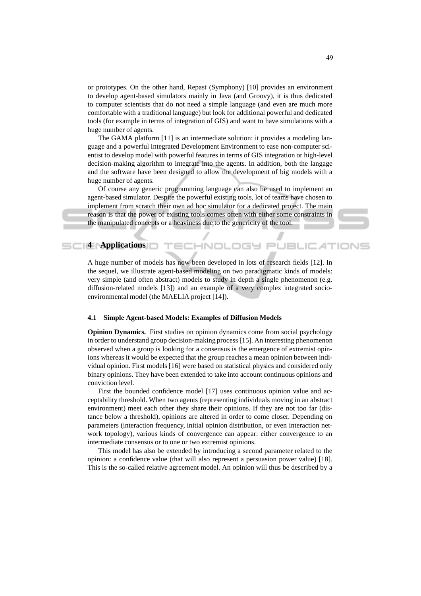or prototypes. On the other hand, Repast (Symphony) [10] provides an environment to develop agent-based simulators mainly in Java (and Groovy), it is thus dedicated to computer scientists that do not need a simple language (and even are much more comfortable with a traditional language) but look for additional powerful and dedicated tools (for example in terms of integration of GIS) and want to have simulations with a huge number of agents.

The GAMA platform [11] is an intermediate solution: it provides a modeling language and a powerful Integrated Development Environment to ease non-computer scientist to develop model with powerful features in terms of GIS integration or high-level decision-making algorithm to integrate into the agents. In addition, both the langage and the software have been designed to allow the development of big models with a huge number of agents.

Of course any generic programming language can also be used to implement an agent-based simulator. Despite the powerful existing tools, lot of teams have chosen to implement from scratch their own ad hoc simulator for a dedicated project. The main reason is that the power of existing tools comes often with either some constraints in the manipulated concepts or a heaviness due to the genericity of the tool.

# **4 Applications**

A huge number of models has now been developed in lots of research fields [12]. In the sequel, we illustrate agent-based modeling on two paradigmatic kinds of models: very simple (and often abstract) models to study in depth a single phenomenon (e.g. diffusion-related models [13]) and an example of a very complex integrated socioenvironmental model (the MAELIA project [14]).

-INOL

#### **4.1 Simple Agent-based Models: Examples of Diffusion Models**

**Opinion Dynamics.** First studies on opinion dynamics come from social psychology in order to understand group decision-making process [15]. An interesting phenomenon observed when a group is looking for a consensus is the emergence of extremist opinions whereas it would be expected that the group reaches a mean opinion between individual opinion. First models [16] were based on statistical physics and considered only binary opinions. They have been extended to take into account continuous opinions and conviction level.

First the bounded confidence model [17] uses continuous opinion value and acceptability threshold. When two agents (representing individuals moving in an abstract environment) meet each other they share their opinions. If they are not too far (distance below a threshold), opinions are altered in order to come closer. Depending on parameters (interaction frequency, initial opinion distribution, or even interaction network topology), various kinds of convergence can appear: either convergence to an intermediate consensus or to one or two extremist opinions.

This model has also be extended by introducing a second parameter related to the opinion: a confidence value (that will also represent a persuasion power value) [18]. This is the so-called relative agreement model. An opinion will thus be described by a

JEI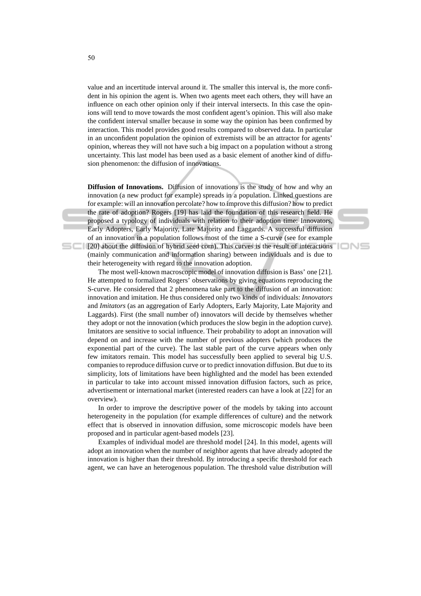value and an incertitude interval around it. The smaller this interval is, the more confident in his opinion the agent is. When two agents meet each others, they will have an influence on each other opinion only if their interval intersects. In this case the opinions will tend to move towards the most confident agent's opinion. This will also make the confident interval smaller because in some way the opinion has been confirmed by interaction. This model provides good results compared to observed data. In particular in an unconfident population the opinion of extremists will be an attractor for agents' opinion, whereas they will not have such a big impact on a population without a strong uncertainty. This last model has been used as a basic element of another kind of diffusion phenomenon: the diffusion of innovations.

**Diffusion of Innovations.** Diffusion of innovations is the study of how and why an innovation (a new product for example) spreads in a population. Linked questions are for example: will an innovation percolate? how to improve this diffusion? how to predict the rate of adoption? Rogers [19] has laid the foundation of this research field. He proposed a typology of individuals with relation to their adoption time: Innovators, Early Adopters, Early Majority, Late Majority and Laggards. A successful diffusion of an innovation in a population follows most of the time a S-curve (see for example [20] about the diffusion of hybrid seed corn). This curves is the result of interactions (mainly communication and information sharing) between individuals and is due to their heterogeneity with regard to the innovation adoption.

'IONS

The most well-known macroscopic model of innovation diffusion is Bass' one [21]. He attempted to formalized Rogers' observations by giving equations reproducing the S-curve. He considered that 2 phenomena take part to the diffusion of an innovation: innovation and imitation. He thus considered only two kinds of individuals: *Innovators* and *Imitators* (as an aggregation of Early Adopters, Early Majority, Late Majority and Laggards). First (the small number of) innovators will decide by themselves whether they adopt or not the innovation (which produces the slow begin in the adoption curve). Imitators are sensitive to social influence. Their probability to adopt an innovation will depend on and increase with the number of previous adopters (which produces the exponential part of the curve). The last stable part of the curve appears when only few imitators remain. This model has successfully been applied to several big U.S. companies to reproduce diffusion curve or to predict innovation diffusion. But due to its simplicity, lots of limitations have been highlighted and the model has been extended in particular to take into account missed innovation diffusion factors, such as price, advertisement or international market (interested readers can have a look at [22] for an overview).

In order to improve the descriptive power of the models by taking into account heterogeneity in the population (for example differences of culture) and the network effect that is observed in innovation diffusion, some microscopic models have been proposed and in particular agent-based models [23].

Examples of individual model are threshold model [24]. In this model, agents will adopt an innovation when the number of neighbor agents that have already adopted the innovation is higher than their threshold. By introducing a specific threshold for each agent, we can have an heterogenous population. The threshold value distribution will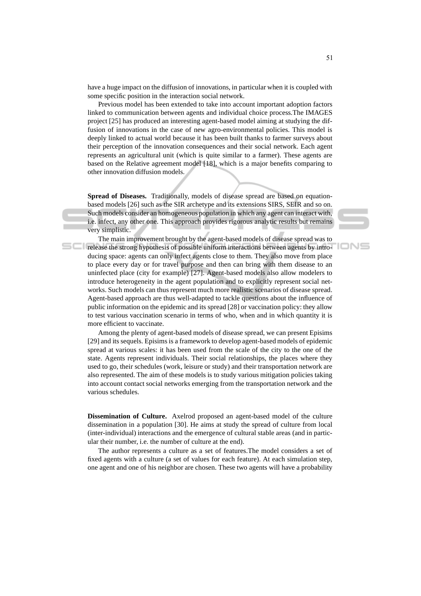have a huge impact on the diffusion of innovations, in particular when it is coupled with some specific position in the interaction social network.

Previous model has been extended to take into account important adoption factors linked to communication between agents and individual choice process.The IMAGES project [25] has produced an interesting agent-based model aiming at studying the diffusion of innovations in the case of new agro-environmental policies. This model is deeply linked to actual world because it has been built thanks to farmer surveys about their perception of the innovation consequences and their social network. Each agent represents an agricultural unit (which is quite similar to a farmer). These agents are based on the Relative agreement model [18], which is a major benefits comparing to other innovation diffusion models.

**Spread of Diseases.** Traditionally, models of disease spread are based on equationbased models [26] such as the SIR archetype and its extensions SIRS, SEIR and so on. Such models consider an homogeneous population in which any agent can interact with, i.e. infect, any other one. This approach provides rigorous analytic results but remains very simplistic.

The main improvement brought by the agent-based models of disease spread was to release the strong hypothesis of possible uniform interactions between agents by introducing space: agents can only infect agents close to them. They also move from place to place every day or for travel purpose and then can bring with them disease to an uninfected place (city for example) [27]. Agent-based models also allow modelers to introduce heterogeneity in the agent population and to explicitly represent social networks. Such models can thus represent much more realistic scenarios of disease spread. Agent-based approach are thus well-adapted to tackle questions about the influence of public information on the epidemic and its spread [28] or vaccination policy: they allow to test various vaccination scenario in terms of who, when and in which quantity it is more efficient to vaccinate.

Among the plenty of agent-based models of disease spread, we can present Episims [29] and its sequels. Episims is a framework to develop agent-based models of epidemic spread at various scales: it has been used from the scale of the city to the one of the state. Agents represent individuals. Their social relationships, the places where they used to go, their schedules (work, leisure or study) and their transportation network are also represented. The aim of these models is to study various mitigation policies taking into account contact social networks emerging from the transportation network and the various schedules.

**Dissemination of Culture.** Axelrod proposed an agent-based model of the culture dissemination in a population [30]. He aims at study the spread of culture from local (inter-individual) interactions and the emergence of cultural stable areas (and in particular their number, i.e. the number of culture at the end).

The author represents a culture as a set of features.The model considers a set of fixed agents with a culture (a set of values for each feature). At each simulation step, one agent and one of his neighbor are chosen. These two agents will have a probability

IONS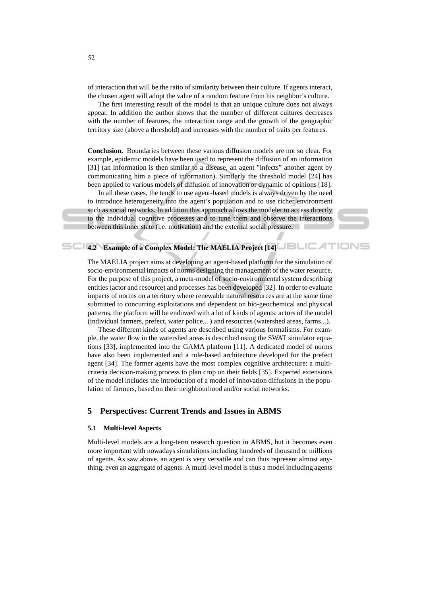of interaction that will be the ratio of similarity between their culture. If agents interact, the chosen agent will adopt the value of a random feature from his neighbor's culture.

The first interesting result of the model is that an unique culture does not always appear. In addition the author shows that the number of different cultures decreases with the number of features, the interaction range and the growth of the geographic territory size (above a threshold) and increases with the number of traits per features.

**Conclusion.** Boundaries between these various diffusion models are not so clear. For example, epidemic models have been used to represent the diffusion of an information [31] (an information is then similar to a disease, an agent "infects" another agent by communicating him a piece of information). Similarly the threshold model [24] has been applied to various models of diffusion of innovation or dynamic of opinions [18].

In all these cases, the tends to use agent-based models is always driven by the need to introduce heterogeneity into the agent's population and to use richer environment such as social networks. In addition this approach allows the modeler to access directly to the individual cognitive processes and to tune them and observe the interactions between this inner state (i.e. motivation) and the external social pressure.



# **4.2 Example of a Complex Model: The MAELIA Project [14]**

The MAELIA project aims at developing an agent-based platform for the simulation of socio-environmental impacts of norms designing the management of the water resource. For the purpose of this project, a meta-model of socio-environmental system describing entities (actor and resource) and processes has been developed [32]. In order to evaluate impacts of norms on a territory where renewable natural resources are at the same time submitted to concurring exploitations and dependent on bio-geochemical and physical patterns, the platform will be endowed with a lot of kinds of agents: actors of the model (individual farmers, prefect, water police... ) and resources (watershed areas, farms...).

These different kinds of agents are described using various formalisms. For example, the water flow in the watershed areas is described using the SWAT simulator equations [33], implemented into the GAMA platform [11]. A dedicated model of norms have also been implemented and a rule-based architecture developed for the prefect agent [34]. The farmer agents have the most complex cognitive architecture: a multicriteria decision-making process to plan crop on their fields [35]. Expected extensions of the model includes the introduction of a model of innovation diffusions in the population of farmers, based on their neighbourhood and/or social networks.

### **5 Perspectives: Current Trends and Issues in ABMS**

#### **5.1 Multi-level Aspects**

Multi-level models are a long-term research question in ABMS, but it becomes even more important with nowadays simulations including hundreds of thousand or millions of agents. As saw above, an agent is very versatile and can thus represent almost anything, even an aggregate of agents. A multi-level model is thus a model including agents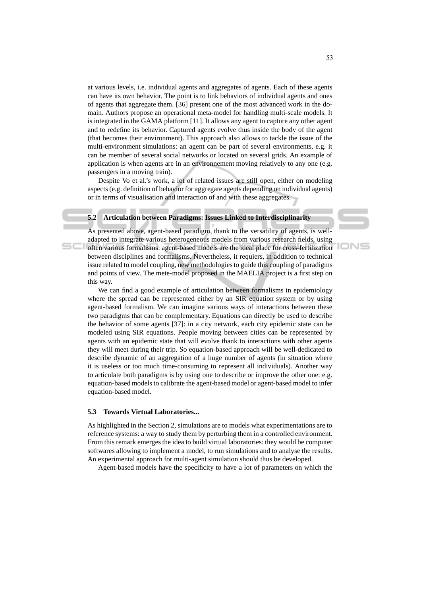at various levels, i.e. individual agents and aggregates of agents. Each of these agents can have its own behavior. The point is to link behaviors of individual agents and ones of agents that aggregate them. [36] present one of the most advanced work in the domain. Authors propose an operational meta-model for handling multi-scale models. It is integrated in the GAMA platform [11]. It allows any agent to capture any other agent and to redefine its behavior. Captured agents evolve thus inside the body of the agent (that becomes their environment). This approach also allows to tackle the issue of the multi-environment simulations: an agent can be part of several environments, e.g. it can be member of several social networks or located on several grids. An example of application is when agents are in an environnement moving relatively to any one (e.g. passengers in a moving train).

Despite Vo et al.'s work, a lot of related issues are still open, either on modeling aspects (e.g. definition of behavior for aggregate agents depending on individual agents) or in terms of visualisation and interaction of and with these aggregates.

#### **5.2 Articulation between Paradigms: Issues Linked to Interdisciplinarity**

As presented above, agent-based paradigm, thank to the versatility of agents, is welladapted to integrate various heterogeneous models from various research fields, using often various formalisms: agent-based models are the ideal place for cross-fertilization between disciplines and formalisms. Nevertheless, it requiers, in addition to technical issue related to model coupling, new methodologies to guide this coupling of paradigms and points of view. The mete-model proposed in the MAELIA project is a first step on this way.

We can find a good example of articulation between formalisms in epidemiology where the spread can be represented either by an SIR equation system or by using agent-based formalism. We can imagine various ways of interactions between these two paradigms that can be complementary. Equations can directly be used to describe the behavior of some agents [37]: in a city network, each city epidemic state can be modeled using SIR equations. People moving between cities can be represented by agents with an epidemic state that will evolve thank to interactions with other agents they will meet during their trip. So equation-based approach will be well-dedicated to describe dynamic of an aggregation of a huge number of agents (in situation where it is useless or too much time-consuming to represent all individuals). Another way to articulate both paradigms is by using one to describe or improve the other one: e.g. equation-based models to calibrate the agent-based model or agent-based model to infer equation-based model.

#### **5.3 Towards Virtual Laboratories...**

As highlighted in the Section 2, simulations are to models what experimentations are to reference systems: a way to study them by perturbing them in a controlled environment. From this remark emerges the idea to build virtual laboratories: they would be computer softwares allowing to implement a model, to run simulations and to analyse the results. An experimental approach for multi-agent simulation should thus be developed.

Agent-based models have the specificity to have a lot of parameters on which the

IONS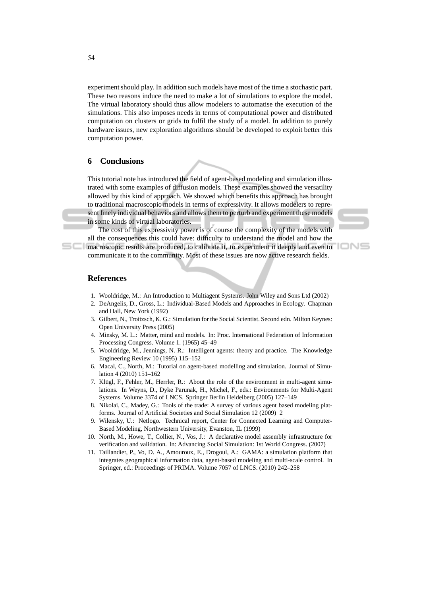experiment should play. In addition such models have most of the time a stochastic part. These two reasons induce the need to make a lot of simulations to explore the model. The virtual laboratory should thus allow modelers to automatise the execution of the simulations. This also imposes needs in terms of computational power and distributed computation on clusters or grids to fulfil the study of a model. In addition to purely hardware issues, new exploration algorithms should be developed to exploit better this computation power.

# **6 Conclusions**

This tutorial note has introduced the field of agent-based modeling and simulation illustrated with some examples of diffusion models. These examples showed the versatility allowed by this kind of approach. We showed which benefits this approach has brought to traditional macroscopic models in terms of expressivity. It allows modelers to represent finely individual behaviors and allows them to perturb and experiment these models in some kinds of virtual laboratories.

The cost of this expressivity power is of course the complexity of the models with all the consequences this could have: difficulty to understand the model and how the macroscopic results are produced, to calibrate it, to experiment it deeply and even to

communicate it to the community. Most of these issues are now active research fields.



## **References**

- 1. Wooldridge, M.: An Introduction to Multiagent Systems. John Wiley and Sons Ltd (2002)
- 2. DeAngelis, D., Gross, L.: Individual-Based Models and Approaches in Ecology. Chapman and Hall, New York (1992)
- 3. Gilbert, N., Troitzsch, K. G.: Simulation for the Social Scientist. Second edn. Milton Keynes: Open University Press (2005)
- 4. Minsky, M. L.: Matter, mind and models. In: Proc. International Federation of Information Processing Congress. Volume 1. (1965) 45–49
- 5. Wooldridge, M., Jennings, N. R.: Intelligent agents: theory and practice. The Knowledge Engineering Review 10 (1995) 115–152
- 6. Macal, C., North, M.: Tutorial on agent-based modelling and simulation. Journal of Simulation 4 (2010) 151–162
- 7. Klügl, F., Fehler, M., Herrler, R.: About the role of the environment in multi-agent simulations. In Weyns, D., Dyke Parunak, H., Michel, F., eds.: Environments for Multi-Agent Systems. Volume 3374 of LNCS. Springer Berlin Heidelberg (2005) 127–149
- 8. Nikolai, C., Madey, G.: Tools of the trade: A survey of various agent based modeling platforms. Journal of Artificial Societies and Social Simulation 12 (2009) 2
- 9. Wilensky, U.: Netlogo. Technical report, Center for Connected Learning and Computer-Based Modeling, Northwestern University, Evanston, IL (1999)
- 10. North, M., Howe, T., Collier, N., Vos, J.: A declarative model assembly infrastructure for verification and validation. In: Advancing Social Simulation: 1st World Congress. (2007)
- 11. Taillandier, P., Vo, D. A., Amouroux, E., Drogoul, A.: GAMA: a simulation platform that integrates geographical information data, agent-based modeling and multi-scale control. In Springer, ed.: Proceedings of PRIMA. Volume 7057 of LNCS. (2010) 242–258